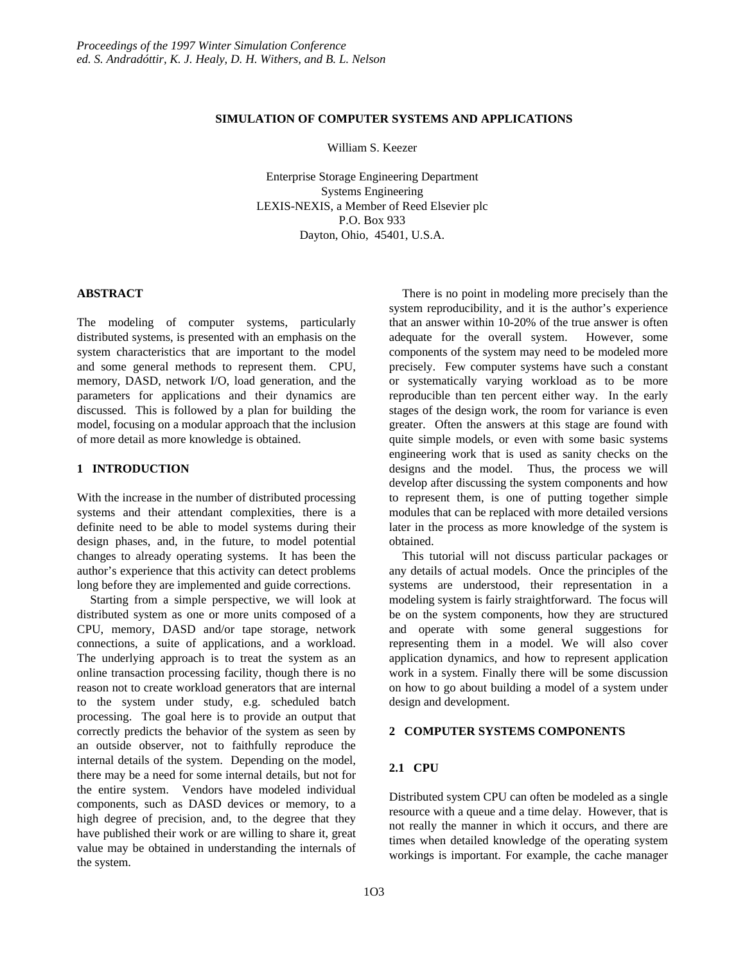# **SIMULATION OF COMPUTER SYSTEMS AND APPLICATIONS**

William S. Keezer

Enterprise Storage Engineering Department Systems Engineering LEXIS-NEXIS, a Member of Reed Elsevier plc P.O. Box 933 Dayton, Ohio, 45401, U.S.A.

## **ABSTRACT**

The modeling of computer systems, particularly distributed systems, is presented with an emphasis on the system characteristics that are important to the model and some general methods to represent them. CPU, memory, DASD, network I/O, load generation, and the parameters for applications and their dynamics are discussed. This is followed by a plan for building the model, focusing on a modular approach that the inclusion of more detail as more knowledge is obtained.

### **1 INTRODUCTION**

With the increase in the number of distributed processing systems and their attendant complexities, there is a definite need to be able to model systems during their design phases, and, in the future, to model potential changes to already operating systems. It has been the author's experience that this activity can detect problems long before they are implemented and guide corrections.

Starting from a simple perspective, we will look at distributed system as one or more units composed of a CPU, memory, DASD and/or tape storage, network connections, a suite of applications, and a workload. The underlying approach is to treat the system as an online transaction processing facility, though there is no reason not to create workload generators that are internal to the system under study, e.g. scheduled batch processing. The goal here is to provide an output that correctly predicts the behavior of the system as seen by an outside observer, not to faithfully reproduce the internal details of the system. Depending on the model, there may be a need for some internal details, but not for the entire system. Vendors have modeled individual components, such as DASD devices or memory, to a high degree of precision, and, to the degree that they have published their work or are willing to share it, great value may be obtained in understanding the internals of the system.

There is no point in modeling more precisely than the system reproducibility, and it is the author's experience that an answer within 10-20% of the true answer is often adequate for the overall system. However, some components of the system may need to be modeled more precisely. Few computer systems have such a constant or systematically varying workload as to be more reproducible than ten percent either way. In the early stages of the design work, the room for variance is even greater. Often the answers at this stage are found with quite simple models, or even with some basic systems engineering work that is used as sanity checks on the designs and the model. Thus, the process we will develop after discussing the system components and how to represent them, is one of putting together simple modules that can be replaced with more detailed versions later in the process as more knowledge of the system is obtained.

This tutorial will not discuss particular packages or any details of actual models. Once the principles of the systems are understood, their representation in a modeling system is fairly straightforward. The focus will be on the system components, how they are structured and operate with some general suggestions for representing them in a model. We will also cover application dynamics, and how to represent application work in a system. Finally there will be some discussion on how to go about building a model of a system under design and development.

## **2 COMPUTER SYSTEMS COMPONENTS**

## **2.1 CPU**

Distributed system CPU can often be modeled as a single resource with a queue and a time delay. However, that is not really the manner in which it occurs, and there are times when detailed knowledge of the operating system workings is important. For example, the cache manager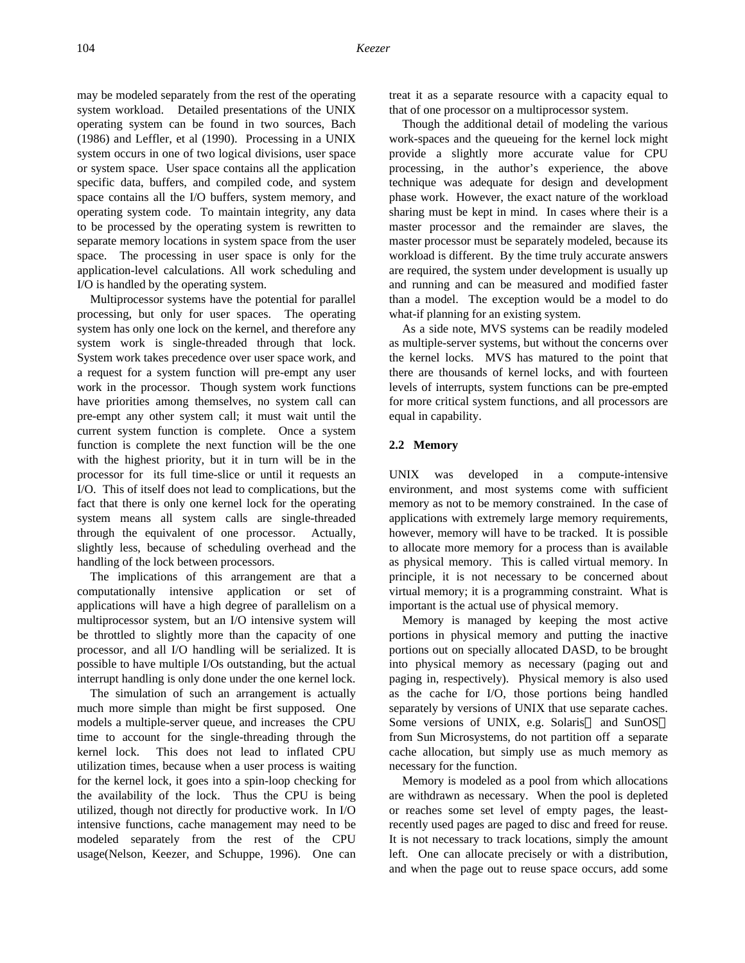may be modeled separately from the rest of the operating system workload. Detailed presentations of the UNIX operating system can be found in two sources, Bach (1986) and Leffler, et al (1990). Processing in a UNIX system occurs in one of two logical divisions, user space or system space. User space contains all the application specific data, buffers, and compiled code, and system space contains all the I/O buffers, system memory, and operating system code. To maintain integrity, any data to be processed by the operating system is rewritten to separate memory locations in system space from the user space. The processing in user space is only for the application-level calculations. All work scheduling and I/O is handled by the operating system.

Multiprocessor systems have the potential for parallel processing, but only for user spaces. The operating system has only one lock on the kernel, and therefore any system work is single-threaded through that lock. System work takes precedence over user space work, and a request for a system function will pre-empt any user work in the processor. Though system work functions have priorities among themselves, no system call can pre-empt any other system call; it must wait until the current system function is complete. Once a system function is complete the next function will be the one with the highest priority, but it in turn will be in the processor for its full time-slice or until it requests an I/O. This of itself does not lead to complications, but the fact that there is only one kernel lock for the operating system means all system calls are single-threaded through the equivalent of one processor. Actually, slightly less, because of scheduling overhead and the handling of the lock between processors.

The implications of this arrangement are that a computationally intensive application or set of applications will have a high degree of parallelism on a multiprocessor system, but an I/O intensive system will be throttled to slightly more than the capacity of one processor, and all I/O handling will be serialized. It is possible to have multiple I/Os outstanding, but the actual interrupt handling is only done under the one kernel lock.

The simulation of such an arrangement is actually much more simple than might be first supposed. One models a multiple-server queue, and increases the CPU time to account for the single-threading through the kernel lock. This does not lead to inflated CPU utilization times, because when a user process is waiting for the kernel lock, it goes into a spin-loop checking for the availability of the lock. Thus the CPU is being utilized, though not directly for productive work. In I/O intensive functions, cache management may need to be modeled separately from the rest of the CPU usage(Nelson, Keezer, and Schuppe, 1996). One can

treat it as a separate resource with a capacity equal to that of one processor on a multiprocessor system.

Though the additional detail of modeling the various work-spaces and the queueing for the kernel lock might provide a slightly more accurate value for CPU processing, in the author's experience, the above technique was adequate for design and development phase work. However, the exact nature of the workload sharing must be kept in mind. In cases where their is a master processor and the remainder are slaves, the master processor must be separately modeled, because its workload is different. By the time truly accurate answers are required, the system under development is usually up and running and can be measured and modified faster than a model. The exception would be a model to do what-if planning for an existing system.

As a side note, MVS systems can be readily modeled as multiple-server systems, but without the concerns over the kernel locks. MVS has matured to the point that there are thousands of kernel locks, and with fourteen levels of interrupts, system functions can be pre-empted for more critical system functions, and all processors are equal in capability.

#### **2.2 Memory**

UNIX was developed in a compute-intensive environment, and most systems come with sufficient memory as not to be memory constrained. In the case of applications with extremely large memory requirements, however, memory will have to be tracked. It is possible to allocate more memory for a process than is available as physical memory. This is called virtual memory. In principle, it is not necessary to be concerned about virtual memory; it is a programming constraint. What is important is the actual use of physical memory.

Memory is managed by keeping the most active portions in physical memory and putting the inactive portions out on specially allocated DASD, to be brought into physical memory as necessary (paging out and paging in, respectively). Physical memory is also used as the cache for I/O, those portions being handled separately by versions of UNIX that use separate caches. Some versions of UNIX, e.g. Solaris<sup>™</sup> and SunOS™ from Sun Microsystems, do not partition off a separate cache allocation, but simply use as much memory as necessary for the function.

Memory is modeled as a pool from which allocations are withdrawn as necessary. When the pool is depleted or reaches some set level of empty pages, the leastrecently used pages are paged to disc and freed for reuse. It is not necessary to track locations, simply the amount left. One can allocate precisely or with a distribution, and when the page out to reuse space occurs, add some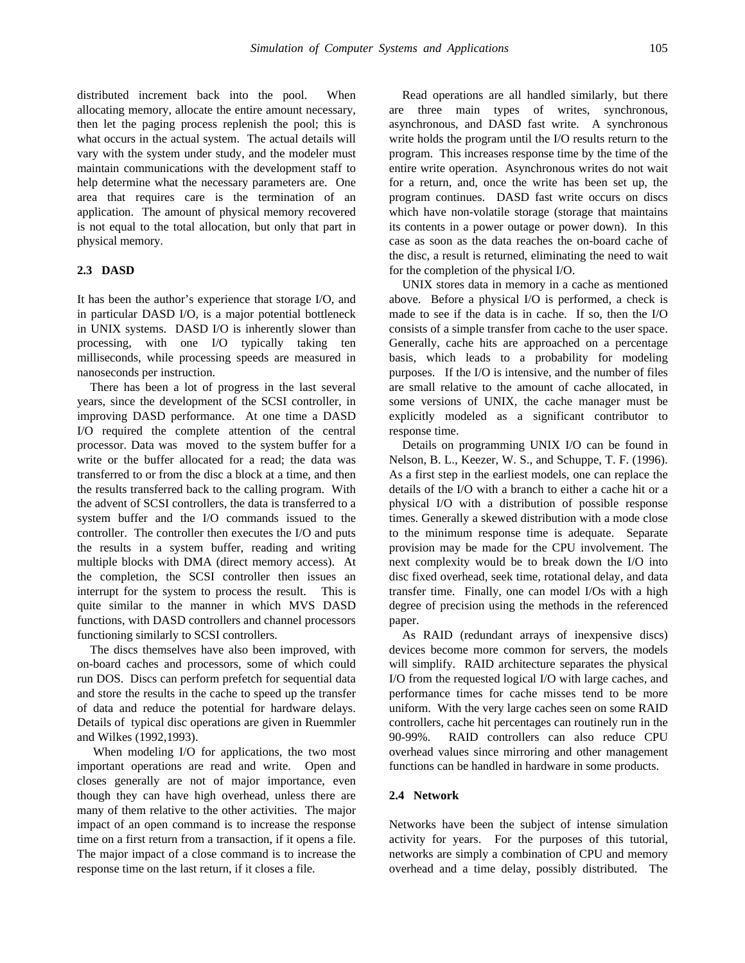distributed increment back into the pool. When allocating memory, allocate the entire amount necessary, then let the paging process replenish the pool; this is what occurs in the actual system. The actual details will vary with the system under study, and the modeler must maintain communications with the development staff to help determine what the necessary parameters are. One area that requires care is the termination of an application. The amount of physical memory recovered is not equal to the total allocation, but only that part in physical memory.

### **2.3 DASD**

It has been the author's experience that storage I/O, and in particular DASD I/O, is a major potential bottleneck in UNIX systems. DASD I/O is inherently slower than processing, with one I/O typically taking ten milliseconds, while processing speeds are measured in nanoseconds per instruction.

There has been a lot of progress in the last several years, since the development of the SCSI controller, in improving DASD performance. At one time a DASD I/O required the complete attention of the central processor. Data was moved to the system buffer for a write or the buffer allocated for a read; the data was transferred to or from the disc a block at a time, and then the results transferred back to the calling program. With the advent of SCSI controllers, the data is transferred to a system buffer and the I/O commands issued to the controller. The controller then executes the I/O and puts the results in a system buffer, reading and writing multiple blocks with DMA (direct memory access). At the completion, the SCSI controller then issues an interrupt for the system to process the result. This is quite similar to the manner in which MVS DASD functions, with DASD controllers and channel processors functioning similarly to SCSI controllers.

The discs themselves have also been improved, with on-board caches and processors, some of which could run DOS. Discs can perform prefetch for sequential data and store the results in the cache to speed up the transfer of data and reduce the potential for hardware delays. Details of typical disc operations are given in Ruemmler and Wilkes (1992,1993).

 When modeling I/O for applications, the two most important operations are read and write. Open and closes generally are not of major importance, even though they can have high overhead, unless there are many of them relative to the other activities. The major impact of an open command is to increase the response time on a first return from a transaction, if it opens a file. The major impact of a close command is to increase the response time on the last return, if it closes a file.

Read operations are all handled similarly, but there are three main types of writes, synchronous, asynchronous, and DASD fast write. A synchronous write holds the program until the I/O results return to the program. This increases response time by the time of the entire write operation. Asynchronous writes do not wait for a return, and, once the write has been set up, the program continues. DASD fast write occurs on discs which have non-volatile storage (storage that maintains its contents in a power outage or power down). In this case as soon as the data reaches the on-board cache of the disc, a result is returned, eliminating the need to wait for the completion of the physical I/O.

UNIX stores data in memory in a cache as mentioned above. Before a physical I/O is performed, a check is made to see if the data is in cache. If so, then the I/O consists of a simple transfer from cache to the user space. Generally, cache hits are approached on a percentage basis, which leads to a probability for modeling purposes. If the I/O is intensive, and the number of files are small relative to the amount of cache allocated, in some versions of UNIX, the cache manager must be explicitly modeled as a significant contributor to response time.

Details on programming UNIX I/O can be found in Nelson, B. L., Keezer, W. S., and Schuppe, T. F. (1996). As a first step in the earliest models, one can replace the details of the I/O with a branch to either a cache hit or a physical I/O with a distribution of possible response times. Generally a skewed distribution with a mode close to the minimum response time is adequate. Separate provision may be made for the CPU involvement. The next complexity would be to break down the I/O into disc fixed overhead, seek time, rotational delay, and data transfer time. Finally, one can model I/Os with a high degree of precision using the methods in the referenced paper.

As RAID (redundant arrays of inexpensive discs) devices become more common for servers, the models will simplify. RAID architecture separates the physical I/O from the requested logical I/O with large caches, and performance times for cache misses tend to be more uniform. With the very large caches seen on some RAID controllers, cache hit percentages can routinely run in the 90-99%. RAID controllers can also reduce CPU overhead values since mirroring and other management functions can be handled in hardware in some products.

## **2.4 Network**

Networks have been the subject of intense simulation activity for years. For the purposes of this tutorial, networks are simply a combination of CPU and memory overhead and a time delay, possibly distributed. The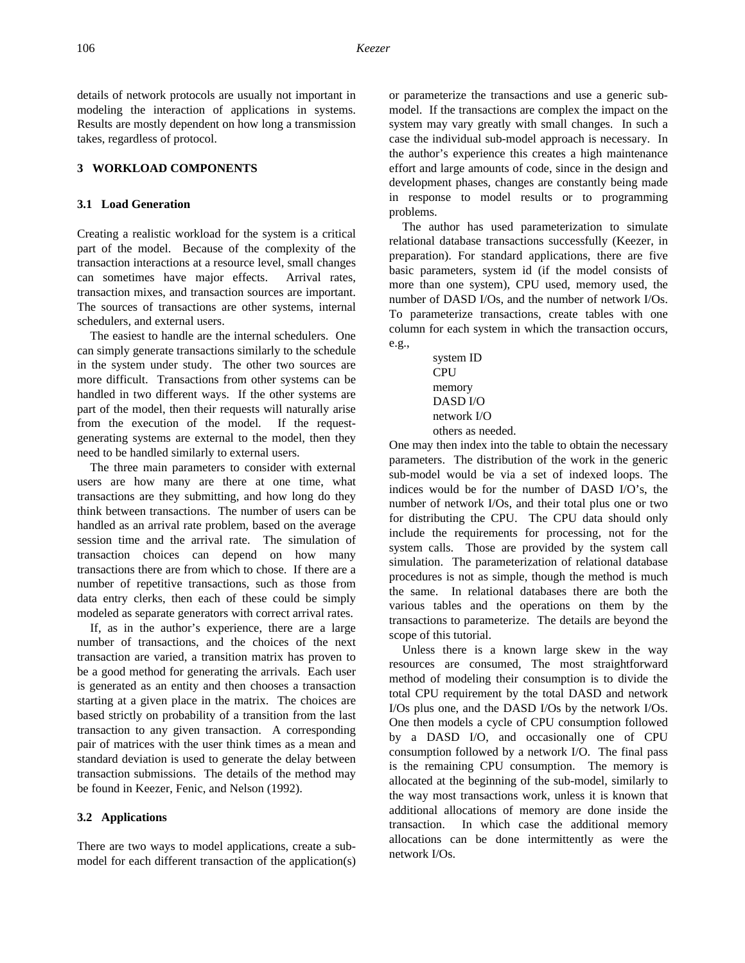details of network protocols are usually not important in modeling the interaction of applications in systems. Results are mostly dependent on how long a transmission takes, regardless of protocol.

# **3 WORKLOAD COMPONENTS**

### **3.1 Load Generation**

Creating a realistic workload for the system is a critical part of the model. Because of the complexity of the transaction interactions at a resource level, small changes can sometimes have major effects. Arrival rates, transaction mixes, and transaction sources are important. The sources of transactions are other systems, internal schedulers, and external users.

The easiest to handle are the internal schedulers. One can simply generate transactions similarly to the schedule in the system under study. The other two sources are more difficult. Transactions from other systems can be handled in two different ways. If the other systems are part of the model, then their requests will naturally arise from the execution of the model. If the requestgenerating systems are external to the model, then they need to be handled similarly to external users.

The three main parameters to consider with external users are how many are there at one time, what transactions are they submitting, and how long do they think between transactions. The number of users can be handled as an arrival rate problem, based on the average session time and the arrival rate. The simulation of transaction choices can depend on how many transactions there are from which to chose. If there are a number of repetitive transactions, such as those from data entry clerks, then each of these could be simply modeled as separate generators with correct arrival rates.

If, as in the author's experience, there are a large number of transactions, and the choices of the next transaction are varied, a transition matrix has proven to be a good method for generating the arrivals. Each user is generated as an entity and then chooses a transaction starting at a given place in the matrix. The choices are based strictly on probability of a transition from the last transaction to any given transaction. A corresponding pair of matrices with the user think times as a mean and standard deviation is used to generate the delay between transaction submissions. The details of the method may be found in Keezer, Fenic, and Nelson (1992).

#### **3.2 Applications**

There are two ways to model applications, create a submodel for each different transaction of the application(s)

or parameterize the transactions and use a generic submodel. If the transactions are complex the impact on the system may vary greatly with small changes. In such a case the individual sub-model approach is necessary. In the author's experience this creates a high maintenance effort and large amounts of code, since in the design and development phases, changes are constantly being made in response to model results or to programming problems.

The author has used parameterization to simulate relational database transactions successfully (Keezer, in preparation). For standard applications, there are five basic parameters, system id (if the model consists of more than one system), CPU used, memory used, the number of DASD I/Os, and the number of network I/Os. To parameterize transactions, create tables with one column for each system in which the transaction occurs, e.g.,

> system ID CPU memory DASD I/O network I/O others as needed.

One may then index into the table to obtain the necessary parameters. The distribution of the work in the generic sub-model would be via a set of indexed loops. The indices would be for the number of DASD I/O's, the number of network I/Os, and their total plus one or two for distributing the CPU. The CPU data should only include the requirements for processing, not for the system calls. Those are provided by the system call simulation. The parameterization of relational database procedures is not as simple, though the method is much the same. In relational databases there are both the various tables and the operations on them by the transactions to parameterize. The details are beyond the scope of this tutorial.

Unless there is a known large skew in the way resources are consumed, The most straightforward method of modeling their consumption is to divide the total CPU requirement by the total DASD and network I/Os plus one, and the DASD I/Os by the network I/Os. One then models a cycle of CPU consumption followed by a DASD I/O, and occasionally one of CPU consumption followed by a network I/O. The final pass is the remaining CPU consumption. The memory is allocated at the beginning of the sub-model, similarly to the way most transactions work, unless it is known that additional allocations of memory are done inside the transaction. In which case the additional memory allocations can be done intermittently as were the network I/Os.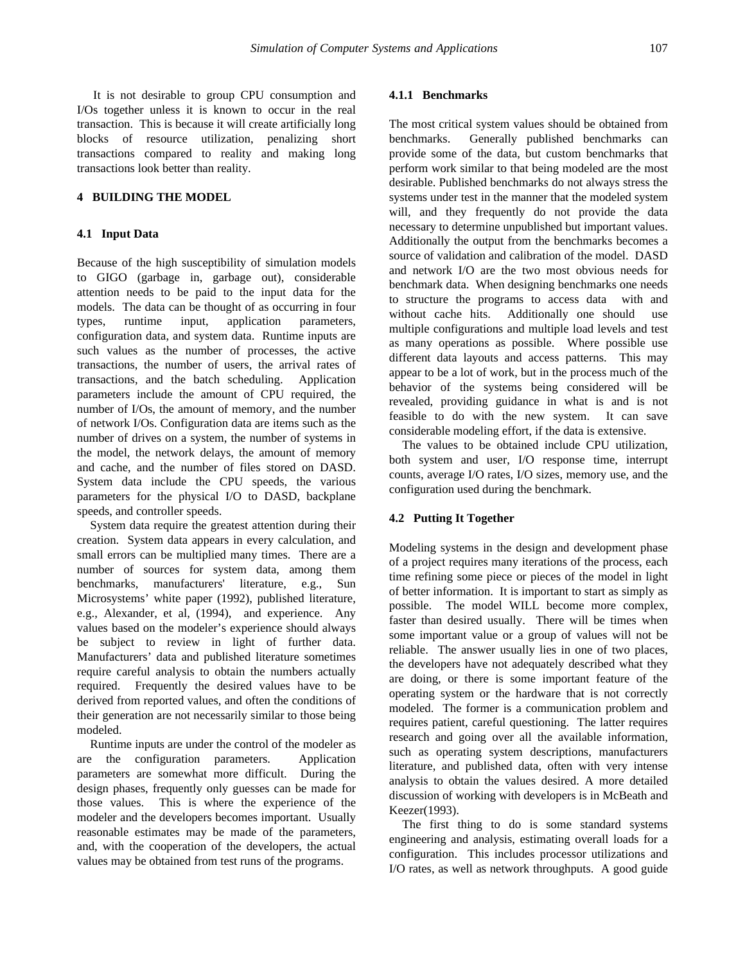It is not desirable to group CPU consumption and I/Os together unless it is known to occur in the real transaction. This is because it will create artificially long blocks of resource utilization, penalizing short transactions compared to reality and making long transactions look better than reality.

# **4 BUILDING THE MODEL**

#### **4.1 Input Data**

Because of the high susceptibility of simulation models to GIGO (garbage in, garbage out), considerable attention needs to be paid to the input data for the models. The data can be thought of as occurring in four types, runtime input, application parameters, configuration data, and system data. Runtime inputs are such values as the number of processes, the active transactions, the number of users, the arrival rates of transactions, and the batch scheduling. Application parameters include the amount of CPU required, the number of I/Os, the amount of memory, and the number of network I/Os. Configuration data are items such as the number of drives on a system, the number of systems in the model, the network delays, the amount of memory and cache, and the number of files stored on DASD. System data include the CPU speeds, the various parameters for the physical I/O to DASD, backplane speeds, and controller speeds.

System data require the greatest attention during their creation. System data appears in every calculation, and small errors can be multiplied many times. There are a number of sources for system data, among them benchmarks, manufacturers' literature, e.g., Sun Microsystems' white paper (1992), published literature, e.g., Alexander, et al, (1994), and experience. Any values based on the modeler's experience should always be subject to review in light of further data. Manufacturers' data and published literature sometimes require careful analysis to obtain the numbers actually required. Frequently the desired values have to be derived from reported values, and often the conditions of their generation are not necessarily similar to those being modeled.

Runtime inputs are under the control of the modeler as are the configuration parameters. Application parameters are somewhat more difficult. During the design phases, frequently only guesses can be made for those values. This is where the experience of the modeler and the developers becomes important. Usually reasonable estimates may be made of the parameters, and, with the cooperation of the developers, the actual values may be obtained from test runs of the programs.

### **4.1.1 Benchmarks**

The most critical system values should be obtained from benchmarks. Generally published benchmarks can provide some of the data, but custom benchmarks that perform work similar to that being modeled are the most desirable. Published benchmarks do not always stress the systems under test in the manner that the modeled system will, and they frequently do not provide the data necessary to determine unpublished but important values. Additionally the output from the benchmarks becomes a source of validation and calibration of the model. DASD and network I/O are the two most obvious needs for benchmark data. When designing benchmarks one needs to structure the programs to access data with and without cache hits. Additionally one should use multiple configurations and multiple load levels and test as many operations as possible. Where possible use different data layouts and access patterns. This may appear to be a lot of work, but in the process much of the behavior of the systems being considered will be revealed, providing guidance in what is and is not feasible to do with the new system. It can save considerable modeling effort, if the data is extensive.

The values to be obtained include CPU utilization, both system and user, I/O response time, interrupt counts, average I/O rates, I/O sizes, memory use, and the configuration used during the benchmark.

#### **4.2 Putting It Together**

Modeling systems in the design and development phase of a project requires many iterations of the process, each time refining some piece or pieces of the model in light of better information. It is important to start as simply as possible. The model WILL become more complex, faster than desired usually. There will be times when some important value or a group of values will not be reliable. The answer usually lies in one of two places, the developers have not adequately described what they are doing, or there is some important feature of the operating system or the hardware that is not correctly modeled. The former is a communication problem and requires patient, careful questioning. The latter requires research and going over all the available information, such as operating system descriptions, manufacturers literature, and published data, often with very intense analysis to obtain the values desired. A more detailed discussion of working with developers is in McBeath and Keezer(1993).

The first thing to do is some standard systems engineering and analysis, estimating overall loads for a configuration. This includes processor utilizations and I/O rates, as well as network throughputs. A good guide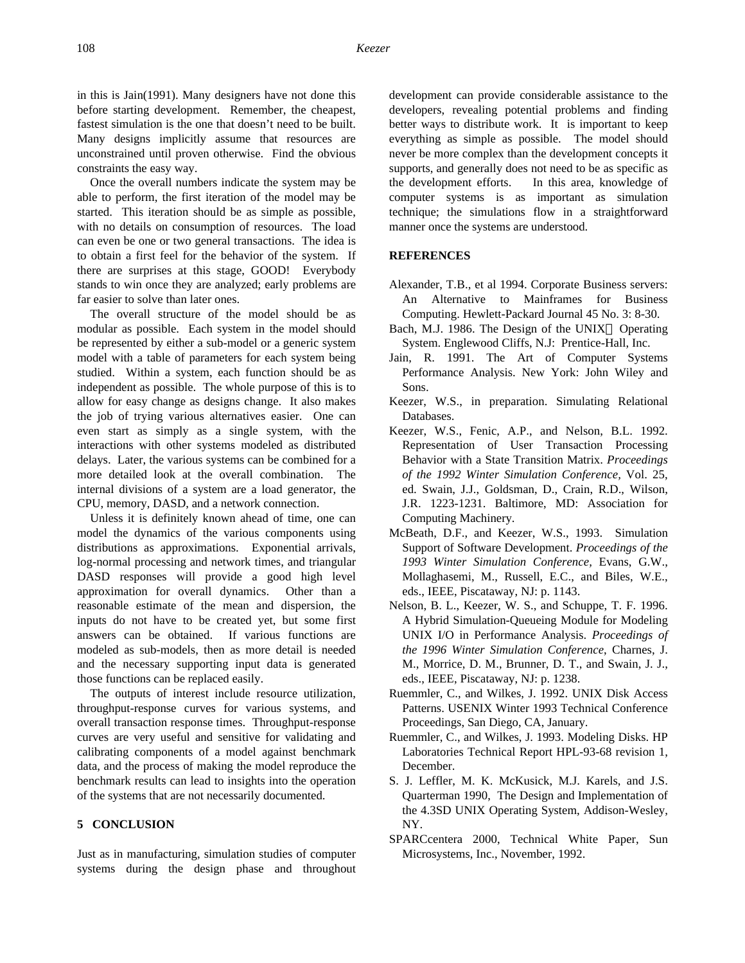in this is Jain(1991). Many designers have not done this before starting development. Remember, the cheapest, fastest simulation is the one that doesn't need to be built. Many designs implicitly assume that resources are unconstrained until proven otherwise. Find the obvious constraints the easy way.

Once the overall numbers indicate the system may be able to perform, the first iteration of the model may be started. This iteration should be as simple as possible, with no details on consumption of resources. The load can even be one or two general transactions. The idea is to obtain a first feel for the behavior of the system. If there are surprises at this stage, GOOD! Everybody stands to win once they are analyzed; early problems are far easier to solve than later ones.

The overall structure of the model should be as modular as possible. Each system in the model should be represented by either a sub-model or a generic system model with a table of parameters for each system being studied. Within a system, each function should be as independent as possible. The whole purpose of this is to allow for easy change as designs change. It also makes the job of trying various alternatives easier. One can even start as simply as a single system, with the interactions with other systems modeled as distributed delays. Later, the various systems can be combined for a more detailed look at the overall combination. The internal divisions of a system are a load generator, the CPU, memory, DASD, and a network connection.

Unless it is definitely known ahead of time, one can model the dynamics of the various components using distributions as approximations. Exponential arrivals, log-normal processing and network times, and triangular DASD responses will provide a good high level approximation for overall dynamics. Other than a reasonable estimate of the mean and dispersion, the inputs do not have to be created yet, but some first answers can be obtained. If various functions are modeled as sub-models, then as more detail is needed and the necessary supporting input data is generated those functions can be replaced easily.

The outputs of interest include resource utilization, throughput-response curves for various systems, and overall transaction response times. Throughput-response curves are very useful and sensitive for validating and calibrating components of a model against benchmark data, and the process of making the model reproduce the benchmark results can lead to insights into the operation of the systems that are not necessarily documented.

#### **5 CONCLUSION**

Just as in manufacturing, simulation studies of computer systems during the design phase and throughout

development can provide considerable assistance to the developers, revealing potential problems and finding better ways to distribute work. It is important to keep everything as simple as possible. The model should never be more complex than the development concepts it supports, and generally does not need to be as specific as the development efforts. In this area, knowledge of computer systems is as important as simulation technique; the simulations flow in a straightforward manner once the systems are understood.

### **REFERENCES**

- Alexander, T.B., et al 1994. Corporate Business servers: An Alternative to Mainframes for Business Computing. Hewlett-Packard Journal 45 No. 3: 8-30.
- Bach, M.J. 1986. The Design of the UNIX<sup>®</sup> Operating System. Englewood Cliffs, N.J: Prentice-Hall, Inc.
- Jain, R. 1991. The Art of Computer Systems Performance Analysis. New York: John Wiley and Sons.
- Keezer, W.S., in preparation. Simulating Relational Databases.
- Keezer, W.S., Fenic, A.P., and Nelson, B.L. 1992. Representation of User Transaction Processing Behavior with a State Transition Matrix. *Proceedings of the 1992 Winter Simulation Conference,* Vol. 25, ed. Swain, J.J., Goldsman, D., Crain, R.D., Wilson, J.R. 1223-1231. Baltimore, MD: Association for Computing Machinery.
- McBeath, D.F., and Keezer, W.S., 1993. Simulation Support of Software Development. *Proceedings of the 1993 Winter Simulation Conference,* Evans, G.W., Mollaghasemi, M., Russell, E.C., and Biles, W.E., eds., IEEE, Piscataway, NJ: p. 1143.
- Nelson, B. L., Keezer, W. S., and Schuppe, T. F. 1996. A Hybrid Simulation-Queueing Module for Modeling UNIX I/O in Performance Analysis. *Proceedings of the 1996 Winter Simulation Conference*, Charnes, J. M., Morrice, D. M., Brunner, D. T., and Swain, J. J., eds., IEEE, Piscataway, NJ: p. 1238.
- Ruemmler, C., and Wilkes, J. 1992. UNIX Disk Access Patterns. USENIX Winter 1993 Technical Conference Proceedings, San Diego, CA, January.
- Ruemmler, C., and Wilkes, J. 1993. Modeling Disks. HP Laboratories Technical Report HPL-93-68 revision 1, December.
- S. J. Leffler, M. K. McKusick, M.J. Karels, and J.S. Quarterman 1990, The Design and Implementation of the 4.3SD UNIX Operating System, Addison-Wesley, NY.
- SPARCcentera 2000, Technical White Paper, Sun Microsystems, Inc., November, 1992.